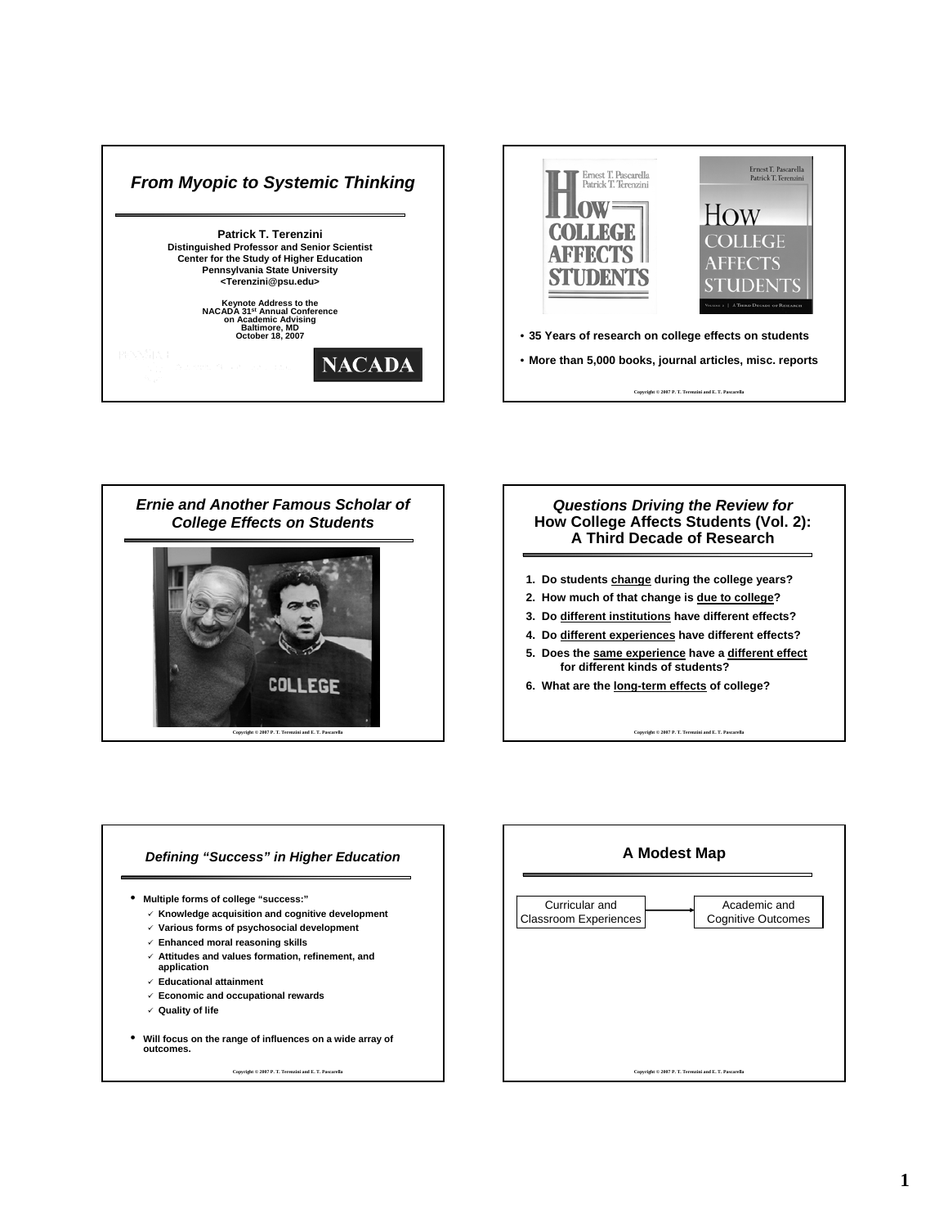





### *Questions Driving the Review for Questions Driving the Review for* **How College Affects Students (Vol. 2): How College Affects Students (Vol. 2): A Third Decade of Research**

- **1. Do students change during the college years?**
- **2. How much of that change is due to college?**
- **3. Do different institutions have different effects?**
- **4. Do different experiences have different effects?**
- **5. Does the same experience have a different effect for different kinds of students?**
- **6. What are the long-term effects of college?**

**Copyright © 2007 P. T. Terenzini and E. T. Pascarella**

#### **Defining "Success" in Higher Education**

- **Multiple forms of college "success:"**
	- 9 **Knowledge acquisition and cognitive development**
	- 9 **Various forms of psychosocial development**
	- 9 **Enhanced moral reasoning skills**
	- 9 **Attitudes and values formation, refinement, and**
	- **application**
	- 9 **Educational attainment**
	- 9 **Economic and occupational rewards**
	- 9 **Quality of life**
- **Will focus on the range of influences on a wide array of outcomes.**

**Copyright © 2007 P. T. Terenzini and E. T. Pascarella**

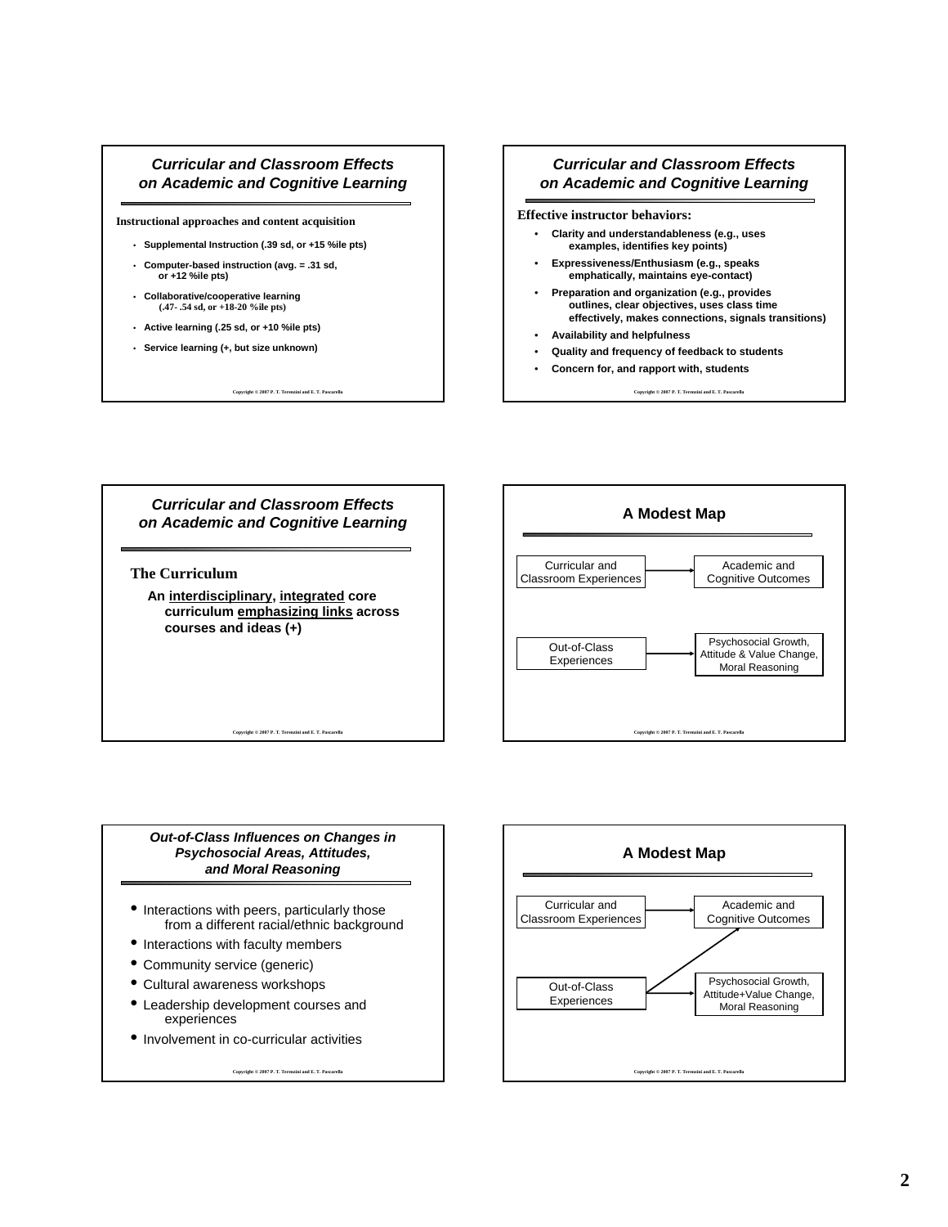#### *Curricular and Classroom Effects on Academic and Cognitive Learning*

**Instructional approaches and content acquisition**

- **Supplemental Instruction (.39 sd, or +15 %ile pts)**
- **Computer-based instruction (avg. = .31 sd, or +12 %ile pts)**
- **Collaborative/cooperative learning (.47- .54 sd, or +18-20 %ile pts)**
- **Active learning (.25 sd, or +10 %ile pts)**
- **Service learning (+, but size unknown)**

**Copyright © 2007 P. T. Terenzini and E. T. Pascarella**

## *Curricular and Classroom Effects on Academic and Cognitive Learning*

**Effective instructor behaviors:**

- **Clarity and understandableness (e.g., uses examples, identifies key points)**
- **Expressiveness/Enthusiasm (e.g., speaks emphatically, maintains eye-contact)**
- **Preparation and organization (e.g., provides outlines, clear objectives, uses class time effectively, makes connections, signals transitions)**
- **Availability and helpfulness**
- **Quality and frequency of feedback to students**
- **Concern for, and rapport with, students**

**Copyright © 2007 P. T. Terenzini and E. T. Pascarella**





*Out-of-Class Influences on Changes in Class Influences on Changes in Psychosocial Areas, Attitudes, Psychosocial Areas, Attitudes, and Moral Reasoning*

- Interactions with peers, particularly those from a different racial/ethnic background
- Interactions with faculty members
- Community service (generic)
- Cultural awareness workshops
- Leadership development courses and experiences
- Involvement in co-curricular activities

Copyright © 2007 P. T. Terenzini and E. T. Pas-

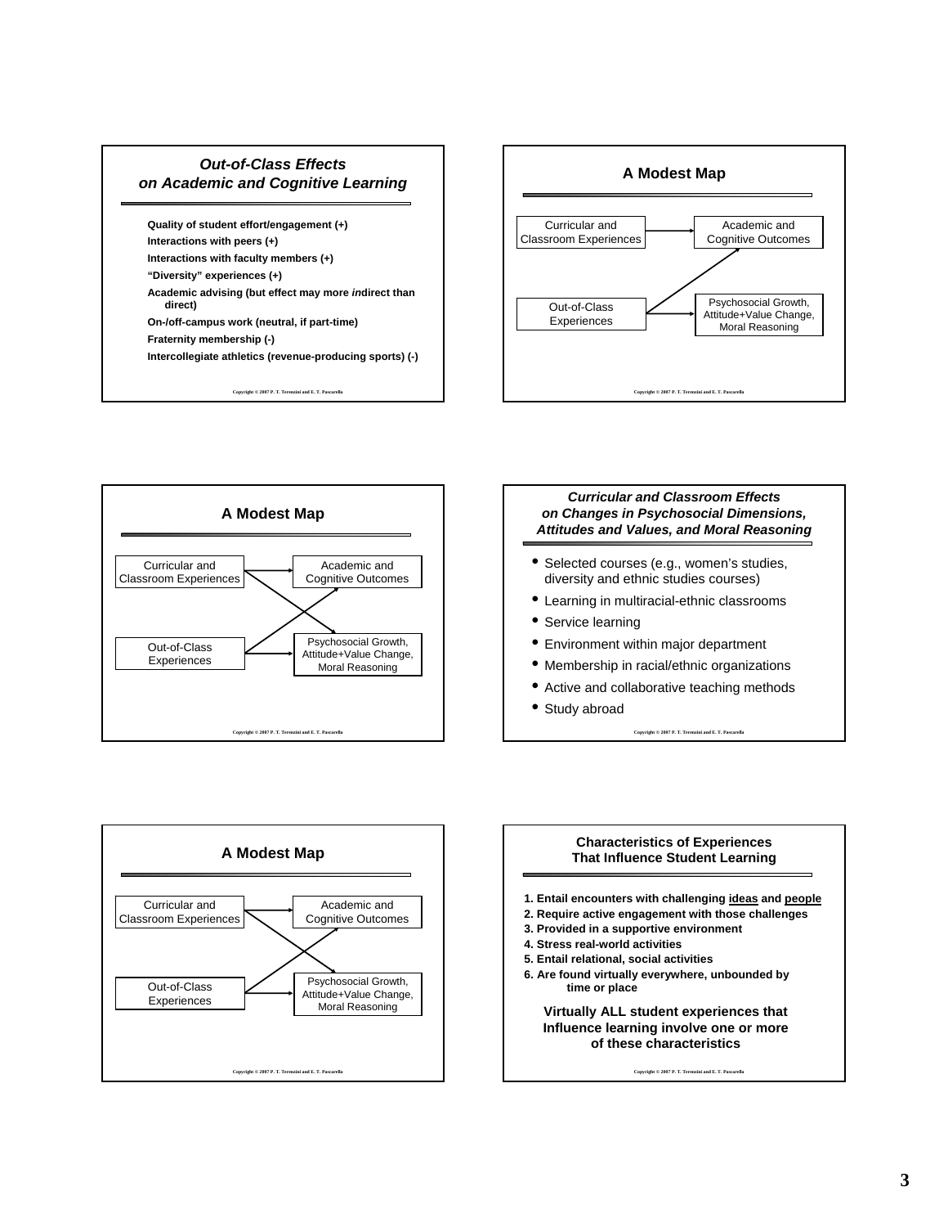# *Out-of-Class Effects on Academic and Cognitive Learning*

**Quality of student effort/engagement (+) Interactions with peers (+)**

- **Interactions with faculty members (+)**
- **"Diversity" experiences (+)**
- **Academic advising (but effect may more** *in***direct than direct)**
- **On-/off-campus work (neutral, if part-time)**
- **Fraternity membership (-)**
- **Intercollegiate athletics (revenue-producing sports) (-)**

**Copyright © 2007 P. T. Terenzini and E. T. Pascarella**